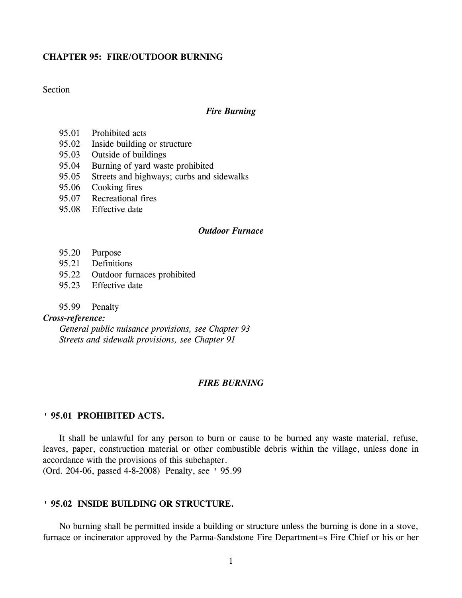## **CHAPTER 95: FIRE/OUTDOOR BURNING**

# **Section**

## *Fire Burning*

- 95.01 Prohibited acts
- 95.02 Inside building or structure
- 95.03 Outside of buildings
- 95.04 Burning of yard waste prohibited
- 95.05 Streets and highways; curbs and sidewalks
- 95.06 Cooking fires
- 95.07 Recreational fires
- 95.08 Effective date

## *Outdoor Furnace*

- 95.20 Purpose
- 95.21 Definitions
- 95.22 Outdoor furnaces prohibited
- 95.23 Effective date
- 95.99 Penalty

# *Cross-reference:*

*General public nuisance provisions, see Chapter 93 Streets and sidewalk provisions, see Chapter 91*

## *FIRE BURNING*

## **' 95.01 PROHIBITED ACTS.**

It shall be unlawful for any person to burn or cause to be burned any waste material, refuse, leaves, paper, construction material or other combustible debris within the village, unless done in accordance with the provisions of this subchapter.

(Ord. 204-06, passed 4-8-2008) Penalty, see ' 95.99

## **' 95.02 INSIDE BUILDING OR STRUCTURE.**

No burning shall be permitted inside a building or structure unless the burning is done in a stove, furnace or incinerator approved by the Parma-Sandstone Fire Department=s Fire Chief or his or her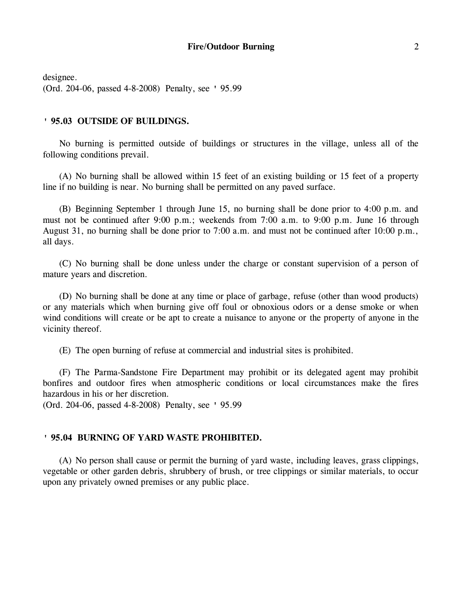designee. (Ord. 204-06, passed 4-8-2008) Penalty, see ' 95.99

## **' 95.03 OUTSIDE OF BUILDINGS.**

No burning is permitted outside of buildings or structures in the village, unless all of the following conditions prevail.

(A) No burning shall be allowed within 15 feet of an existing building or 15 feet of a property line if no building is near. No burning shall be permitted on any paved surface.

(B) Beginning September 1 through June 15, no burning shall be done prior to 4:00 p.m. and must not be continued after 9:00 p.m.; weekends from 7:00 a.m. to 9:00 p.m. June 16 through August 31, no burning shall be done prior to 7:00 a.m. and must not be continued after 10:00 p.m., all days.

(C) No burning shall be done unless under the charge or constant supervision of a person of mature years and discretion.

(D) No burning shall be done at any time or place of garbage, refuse (other than wood products) or any materials which when burning give off foul or obnoxious odors or a dense smoke or when wind conditions will create or be apt to create a nuisance to anyone or the property of anyone in the vicinity thereof.

(E) The open burning of refuse at commercial and industrial sites is prohibited.

(F) The Parma-Sandstone Fire Department may prohibit or its delegated agent may prohibit bonfires and outdoor fires when atmospheric conditions or local circumstances make the fires hazardous in his or her discretion.

(Ord. 204-06, passed 4-8-2008) Penalty, see ' 95.99

## **' 95.04 BURNING OF YARD WASTE PROHIBITED.**

(A) No person shall cause or permit the burning of yard waste, including leaves, grass clippings, vegetable or other garden debris, shrubbery of brush, or tree clippings or similar materials, to occur upon any privately owned premises or any public place.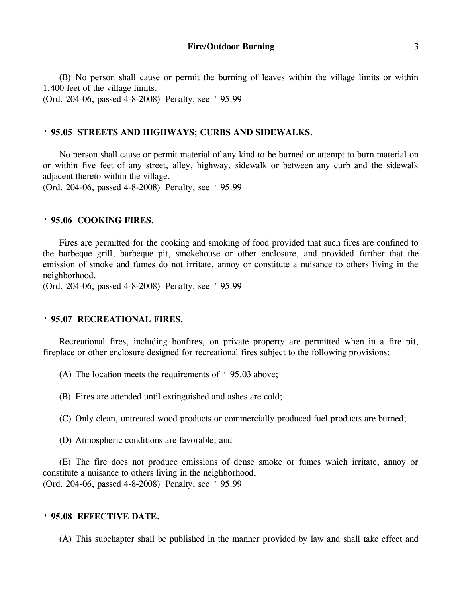(B) No person shall cause or permit the burning of leaves within the village limits or within 1,400 feet of the village limits.

(Ord. 204-06, passed 4-8-2008) Penalty, see ' 95.99

## **' 95.05 STREETS AND HIGHWAYS; CURBS AND SIDEWALKS.**

No person shall cause or permit material of any kind to be burned or attempt to burn material on or within five feet of any street, alley, highway, sidewalk or between any curb and the sidewalk adjacent thereto within the village.

(Ord. 204-06, passed 4-8-2008) Penalty, see ' 95.99

## **' 95.06 COOKING FIRES.**

Fires are permitted for the cooking and smoking of food provided that such fires are confined to the barbeque grill, barbeque pit, smokehouse or other enclosure, and provided further that the emission of smoke and fumes do not irritate, annoy or constitute a nuisance to others living in the neighborhood.

(Ord. 204-06, passed 4-8-2008) Penalty, see ' 95.99

## **' 95.07 RECREATIONAL FIRES.**

Recreational fires, including bonfires, on private property are permitted when in a fire pit, fireplace or other enclosure designed for recreational fires subject to the following provisions:

(A) The location meets the requirements of ' 95.03 above;

(B) Fires are attended until extinguished and ashes are cold;

(C) Only clean, untreated wood products or commercially produced fuel products are burned;

(D) Atmospheric conditions are favorable; and

(E) The fire does not produce emissions of dense smoke or fumes which irritate, annoy or constitute a nuisance to others living in the neighborhood. (Ord. 204-06, passed 4-8-2008) Penalty, see ' 95.99

## **' 95.08 EFFECTIVE DATE.**

(A) This subchapter shall be published in the manner provided by law and shall take effect and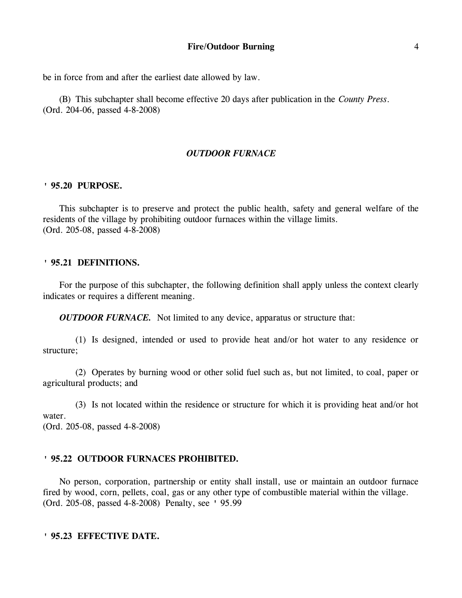be in force from and after the earliest date allowed by law.

(B) This subchapter shall become effective 20 days after publication in the *County Press*. (Ord. 204-06, passed 4-8-2008)

# *OUTDOOR FURNACE*

## **' 95.20 PURPOSE.**

This subchapter is to preserve and protect the public health, safety and general welfare of the residents of the village by prohibiting outdoor furnaces within the village limits. (Ord. 205-08, passed 4-8-2008)

## **' 95.21 DEFINITIONS.**

For the purpose of this subchapter, the following definition shall apply unless the context clearly indicates or requires a different meaning.

*OUTDOOR FURNACE.* Not limited to any device, apparatus or structure that:

(1) Is designed, intended or used to provide heat and/or hot water to any residence or structure;

(2) Operates by burning wood or other solid fuel such as, but not limited, to coal, paper or agricultural products; and

(3) Is not located within the residence or structure for which it is providing heat and/or hot water.

(Ord. 205-08, passed 4-8-2008)

# **' 95.22 OUTDOOR FURNACES PROHIBITED.**

No person, corporation, partnership or entity shall install, use or maintain an outdoor furnace fired by wood, corn, pellets, coal, gas or any other type of combustible material within the village. (Ord. 205-08, passed 4-8-2008) Penalty, see ' 95.99

**' 95.23 EFFECTIVE DATE.**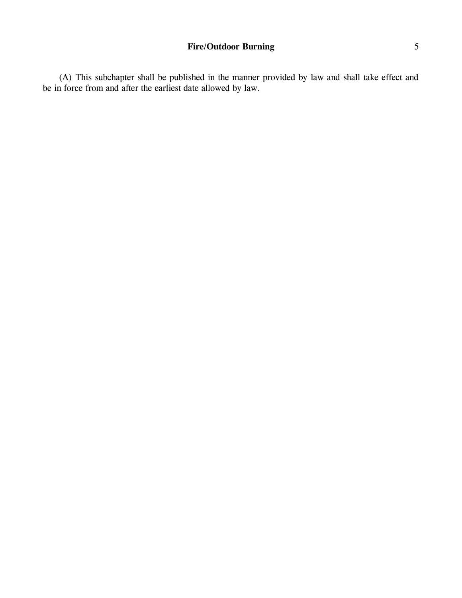(A) This subchapter shall be published in the manner provided by law and shall take effect and be in force from and after the earliest date allowed by law.